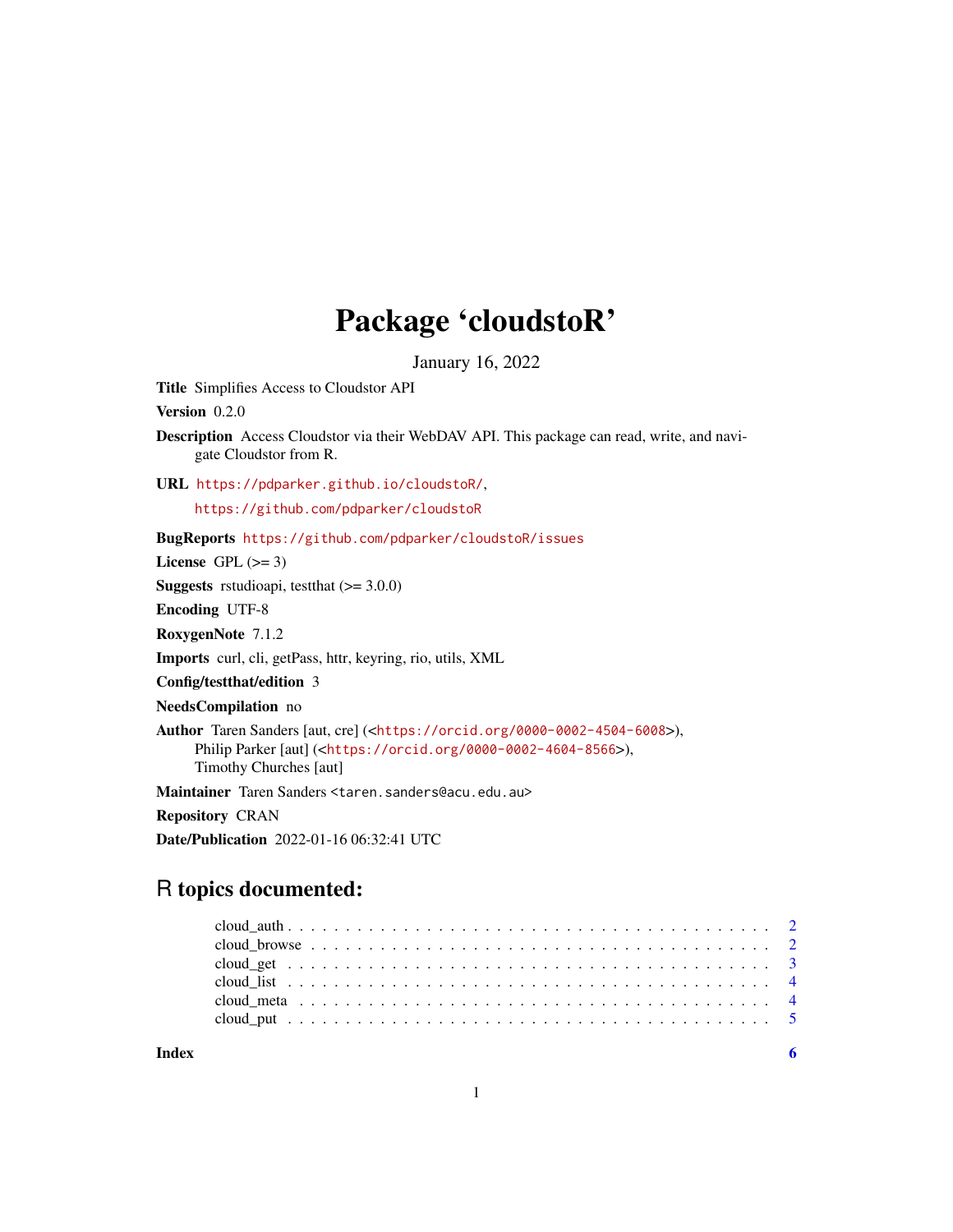## Package 'cloudstoR'

January 16, 2022

Title Simplifies Access to Cloudstor API

Version 0.2.0

Description Access Cloudstor via their WebDAV API. This package can read, write, and navigate Cloudstor from R.

URL <https://pdparker.github.io/cloudstoR/>,

<https://github.com/pdparker/cloudstoR>

BugReports <https://github.com/pdparker/cloudstoR/issues>

License GPL  $(>= 3)$ 

**Suggests** rstudioapi, test that  $(>= 3.0.0)$ 

Encoding UTF-8

RoxygenNote 7.1.2

Imports curl, cli, getPass, httr, keyring, rio, utils, XML

Config/testthat/edition 3

NeedsCompilation no

Author Taren Sanders [aut, cre] (<<https://orcid.org/0000-0002-4504-6008>>), Philip Parker [aut] (<<https://orcid.org/0000-0002-4604-8566>>), Timothy Churches [aut]

Maintainer Taren Sanders <taren.sanders@acu.edu.au>

Repository CRAN

Date/Publication 2022-01-16 06:32:41 UTC

### R topics documented:

**Index** [6](#page-5-0) **6**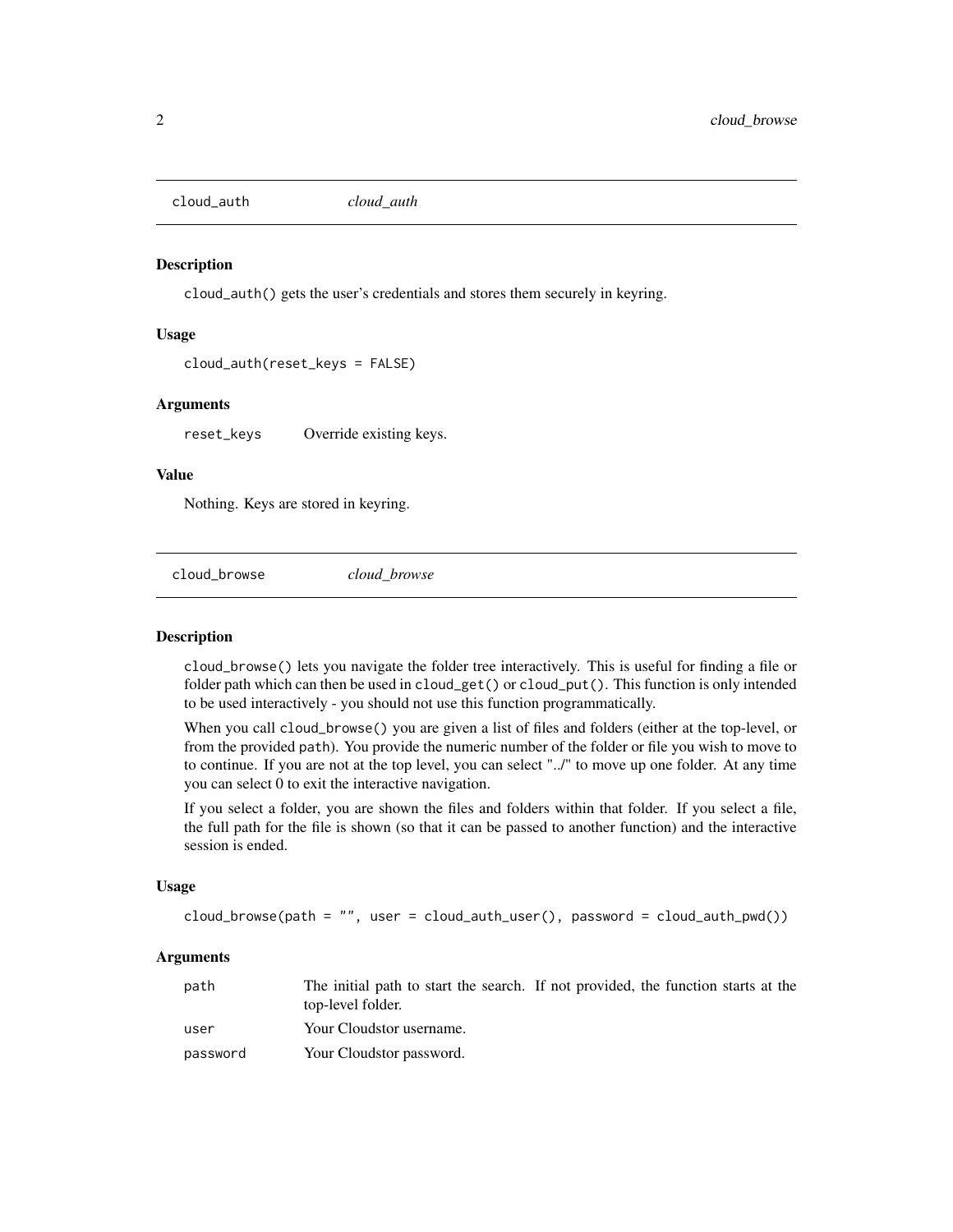<span id="page-1-0"></span>cloud\_auth *cloud\_auth*

#### Description

cloud\_auth() gets the user's credentials and stores them securely in keyring.

#### Usage

```
cloud_auth(reset_keys = FALSE)
```
#### Arguments

reset\_keys Override existing keys.

#### Value

Nothing. Keys are stored in keyring.

cloud\_browse *cloud\_browse*

#### Description

cloud\_browse() lets you navigate the folder tree interactively. This is useful for finding a file or folder path which can then be used in cloud\_get() or cloud\_put(). This function is only intended to be used interactively - you should not use this function programmatically.

When you call cloud\_browse() you are given a list of files and folders (either at the top-level, or from the provided path). You provide the numeric number of the folder or file you wish to move to to continue. If you are not at the top level, you can select "../" to move up one folder. At any time you can select 0 to exit the interactive navigation.

If you select a folder, you are shown the files and folders within that folder. If you select a file, the full path for the file is shown (so that it can be passed to another function) and the interactive session is ended.

#### Usage

cloud\_browse(path = "", user = cloud\_auth\_user(), password = cloud\_auth\_pwd())

#### Arguments

| path     | The initial path to start the search. If not provided, the function starts at the<br>top-level folder. |  |  |
|----------|--------------------------------------------------------------------------------------------------------|--|--|
| user     | Your Cloudstor username.                                                                               |  |  |
| password | Your Cloudstor password.                                                                               |  |  |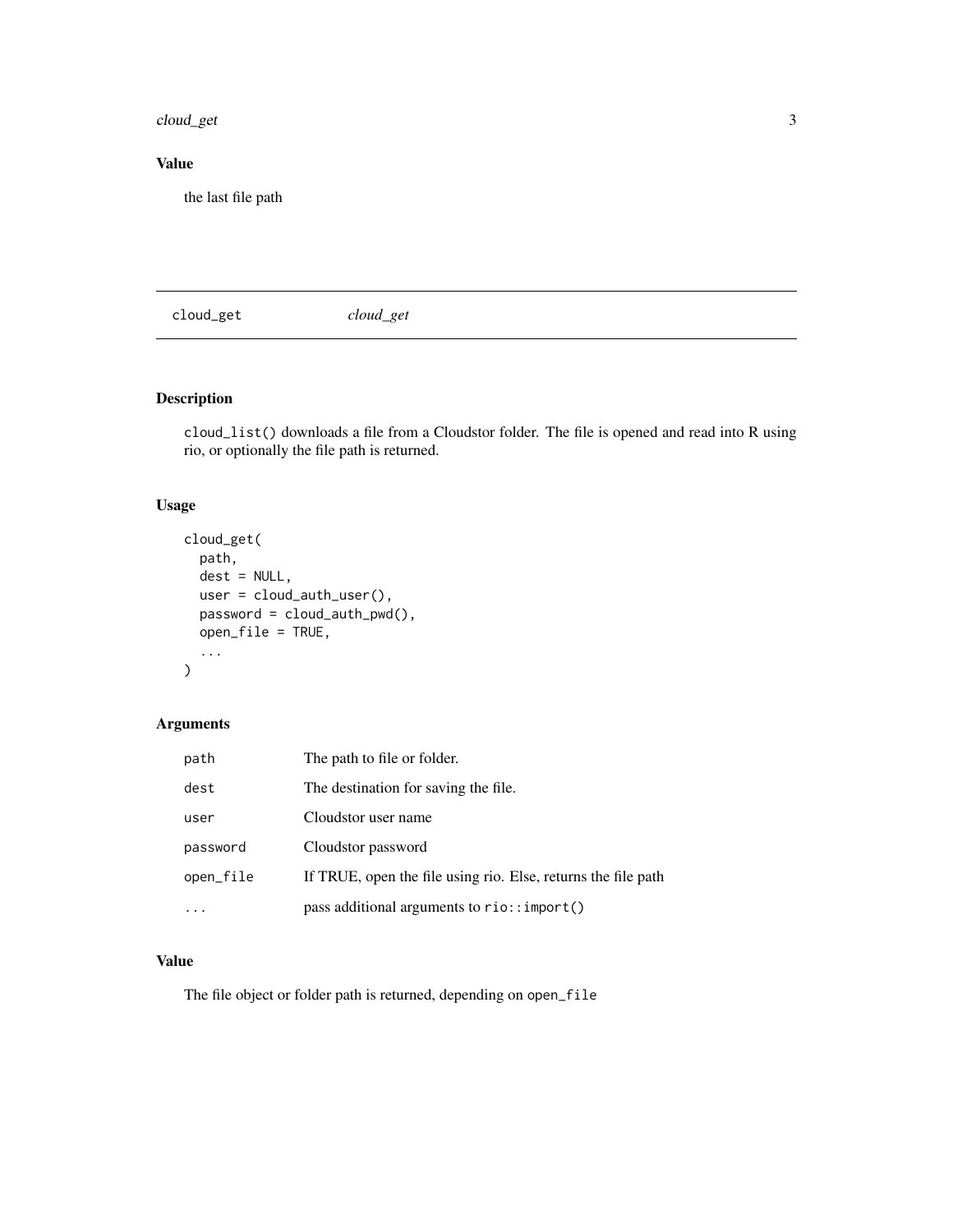#### <span id="page-2-0"></span>cloud\_get 3

#### Value

the last file path

cloud\_get *cloud\_get*

#### Description

cloud\_list() downloads a file from a Cloudstor folder. The file is opened and read into R using rio, or optionally the file path is returned.

#### Usage

```
cloud_get(
  path,
  dest = NULL,user = cloud_auth_user(),
  password = cloud_auth_pwd(),
  open_file = TRUE,
  ...
)
```
#### Arguments

| path      | The path to file or folder.                                   |
|-----------|---------------------------------------------------------------|
| dest      | The destination for saving the file.                          |
| user      | Cloudstor user name                                           |
| password  | Cloudstor password                                            |
| open_file | If TRUE, open the file using rio. Else, returns the file path |
|           | pass additional arguments to rio:: import()                   |

#### Value

The file object or folder path is returned, depending on open\_file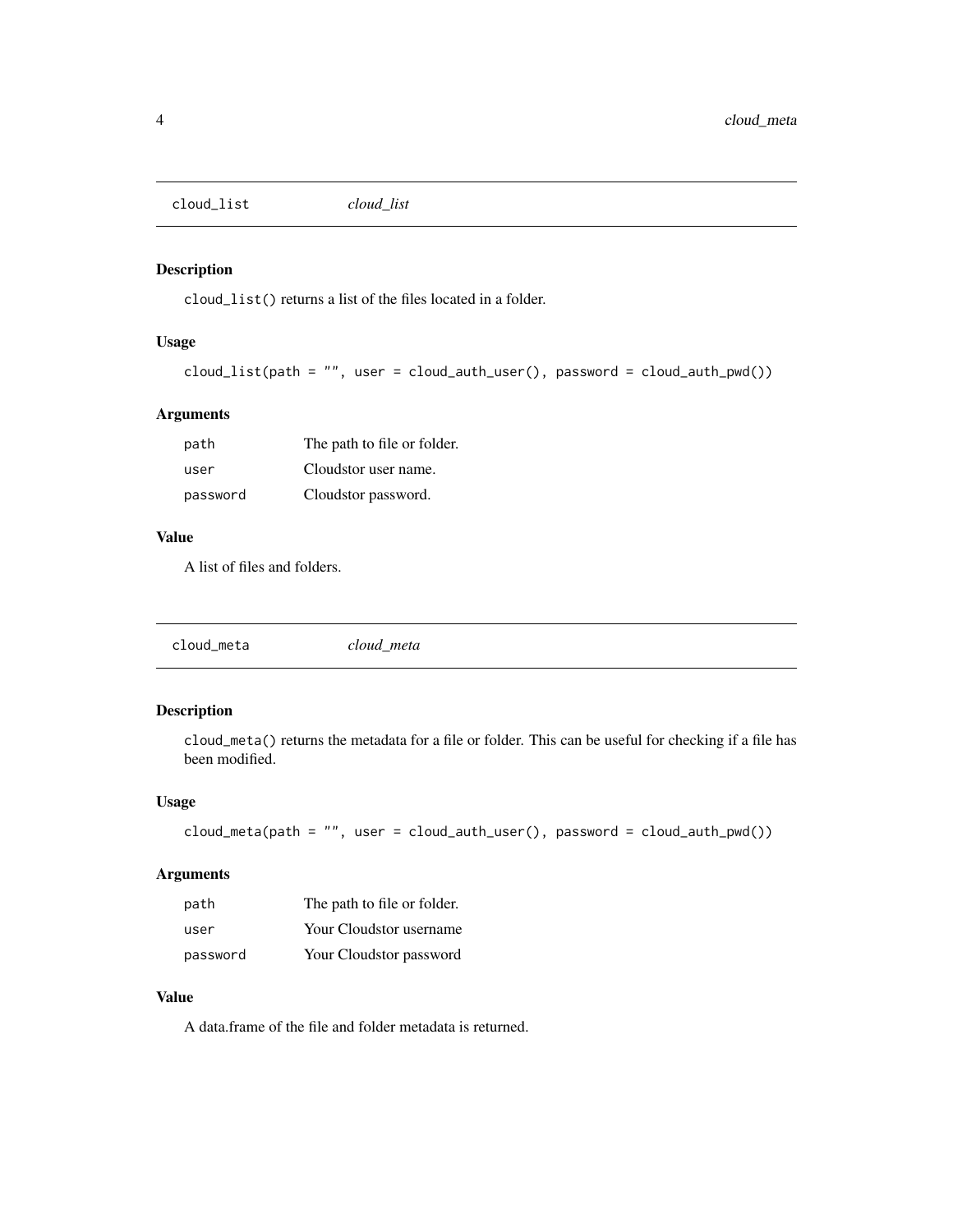<span id="page-3-0"></span>cloud\_list *cloud\_list*

#### Description

cloud\_list() returns a list of the files located in a folder.

#### Usage

```
cloud_list(path = "", user = cloud_auth_user(), password = cloud_auth_pwd())
```
#### Arguments

| path     | The path to file or folder. |
|----------|-----------------------------|
| user     | Cloudstor user name.        |
| password | Cloudstor password.         |

#### Value

A list of files and folders.

cloud\_meta *cloud\_meta*

#### Description

cloud\_meta() returns the metadata for a file or folder. This can be useful for checking if a file has been modified.

#### Usage

```
cloud\_meta(path = "", user = cloud_auth\_user(), password = cloud_auth\_prod()
```
#### Arguments

| path     | The path to file or folder. |
|----------|-----------------------------|
| user     | Your Cloudstor username     |
| password | Your Cloudstor password     |

#### Value

A data.frame of the file and folder metadata is returned.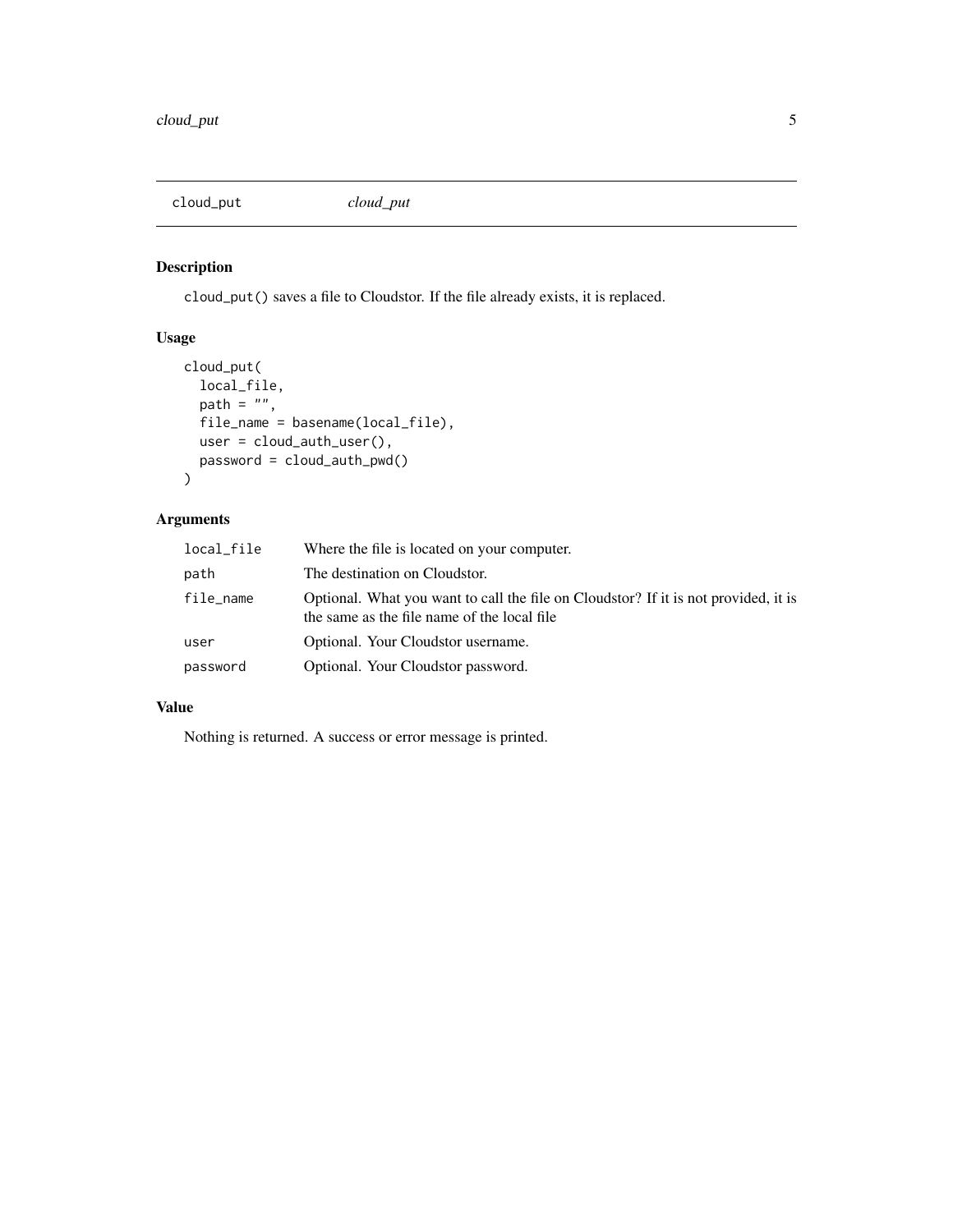<span id="page-4-0"></span>cloud\_put *cloud\_put*

#### Description

cloud\_put() saves a file to Cloudstor. If the file already exists, it is replaced.

#### Usage

```
cloud_put(
 local_file,
 path = "",file_name = basename(local_file),
 user = cloud_auth_user(),
 password = cloud_auth_pwd()
)
```
#### Arguments

| local_file | Where the file is located on your computer.                                                                                        |
|------------|------------------------------------------------------------------------------------------------------------------------------------|
| path       | The destination on Cloudstor.                                                                                                      |
| file_name  | Optional. What you want to call the file on Cloudstor? If it is not provided, it is<br>the same as the file name of the local file |
| user       | Optional. Your Cloudstor username.                                                                                                 |
| password   | Optional. Your Cloudstor password.                                                                                                 |

#### Value

Nothing is returned. A success or error message is printed.